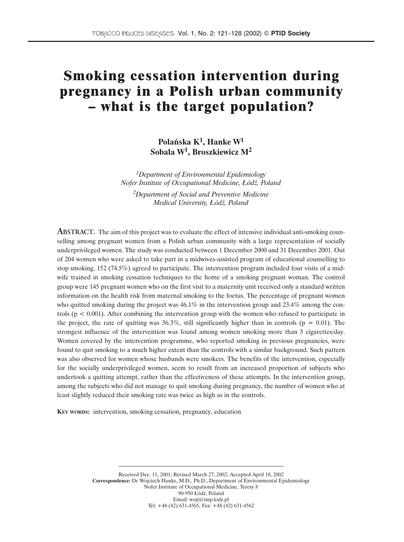# **Smoking cessation intervention during pregnancy in a Polish urban community – what is the target population?**

**Polańska K1, Hanke W1 Sobala W1, Broszkiewicz M2**

*1Department of Environmental Epidemiology Nofer Institute of Occupational Medicine, Łódź, Poland 2Department of Social and Preventive Medicine Medical University, Łódź, Poland*

ABSTRACT. The aim of this project was to evaluate the effect of intensive individual anti-smoking counselling among pregnant women from a Polish urban community with a large representation of socially underprivileged women. The study was conducted between 1 December 2000 and 31 December 2001. Out of 204 women who were asked to take part in a midwives-assisted program of educational counselling to stop smoking, 152 (74.5%) agreed to participate. The intervention program included four visits of a midwife trained in smoking cessation techniques to the home of a smoking pregnant woman. The control group were 145 pregnant women who on the first visit to a maternity unit received only a standard written information on the health risk from maternal smoking to the foetus. The percentage of pregnant women who quitted smoking during the project was  $46.1\%$  in the intervention group and 23.4% among the controls ( $p < 0.001$ ). After combining the intervention group with the women who refused to participate in the project, the rate of quitting was 36.3%, still significantly higher than in controls ( $p = 0.01$ ). The strongest influence of the intervention was found among women smoking more than 5 cigarettes/day. Women covered by the intervention programme, who reported smoking in previous pregnancies, were found to quit smoking to a much higher extent than the controls with a similar background. Such pattern was also observed for women whose husbands were smokers. The benefits of the intervention, especially for the socially underprivileged women, seem to result from an increased proportion of subjects who undertook a quitting attempt, rather than the effectiveness of these attempts. In the intervention group, among the subjects who did not manage to quit smoking during pregnancy, the number of women who at least slightly reduced their smoking rate was twice as high as in the controls.

**KEY WORDS:** intervention, smoking cessation, pregnancy, education

Received Dec. 11, 2001; Revised March 27, 2002; Accepted April 18, 2002 **Correspondence:** Dr Wojciech Hanke, M.D., Ph.D., Department of Environmental Epidemiology Nofer Institute of Occupational Medicine, Teresy 8 90-950 Łódź, Poland Email: wojt@imp.lodz.pl Tel: +48 (42) 631-4565, Fax: +48 (42) 631-4562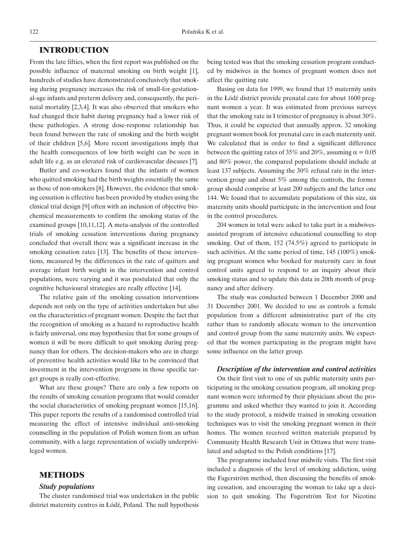## **INTRODUCTION**

From the late fifties, when the first report was published on the possible influence of maternal smoking on birth weight [1], hundreds of studies have demonstrated conclusively that smoking during pregnancy increases the risk of small-for-gestational-age infants and preterm delivery and, consequently, the perinatal mortality [2,3,4]. It was also observed that smokers who had changed their habit during pregnancy had a lower risk of these pathologies. A strong dose-response relationship has been found between the rate of smoking and the birth weight of their children [5,6]. More recent investigations imply that the health consequences of low birth weight can be seen in adult life e.g. as an elevated risk of cardiovascular diseases [7].

Butler and co-workers found that the infants of women who quitted smoking had the birth weights essentially the same as those of non-smokers [8]. However, the evidence that smoking cessation is effective has been provided by studies using the clinical trial design [9] often with an inclusion of objective biochemical measurements to confirm the smoking status of the examined groups [10,11,12]. A meta-analysis of the controlled trials of smoking cessation interventions during pregnancy concluded that overall there was a significant increase in the smoking cessation rates [13]. The benefits of these interventions, measured by the differences in the rate of quitters and average infant birth weight in the intervention and control populations, were varying and it was postulated that only the cognitive behavioural strategies are really effective [14].

The relative gain of the smoking cessation interventions depends not only on the type of activities undertaken but also on the characteristics of pregnant women. Despite the fact that the recognition of smoking as a hazard to reproductive health is fairly universal, one may hypothesize that for some groups of women it will be more difficult to quit smoking during pregnancy than for others. The decision-makers who are in charge of preventive health activities would like to be convinced that investment in the intervention programs in those specific target groups is really cost-effective.

What are these groups? There are only a few reports on the results of smoking cessation programs that would consider the social characteristics of smoking pregnant women [15,16]. This paper reports the results of a randomised controlled trial measuring the effect of intensive individual anti-smoking counselling in the population of Polish women from an urban community, with a large representation of socially underprivileged women.

## **METHODS**

#### *Study populations*

The cluster randomised trial was undertaken in the public district maternity centres in Łódź, Poland. The null hypothesis being tested was that the smoking cessation program conducted by midwives in the homes of pregnant women does not affect the quitting rate

Basing on data for 1999, we found that 15 maternity units in the Łódź district provide prenatal care for about 1600 pregnant women a year. It was estimated from previous surveys that the smoking rate in I trimester of pregnancy is about 30%. Thus, it could be expected that annually approx. 32 smoking pregnant women book for prenatal care in each maternity unit. We calculated that in order to find a significant difference between the quitting rates of 35% and 20%, assuming  $\alpha = 0.05$ and 80% power, the compared populations should include at least 137 subjects. Assuming the 30% refusal rate in the intervention group and about 5% among the controls, the former group should comprise at least 200 subjects and the latter one 144. We found that to accumulate populations of this size, six maternity units should participate in the intervention and four in the control procedures.

204 women in total were asked to take part in a midwivesassisted program of intensive educational counselling to stop smoking. Out of them, 152 (74.5%) agreed to participate in such activities. At the same period of time, 145 (100%) smoking pregnant women who booked for maternity care in four control units agreed to respond to an inquiry about their smoking status and to update this data in 20th month of pregnancy and after delivery.

The study was conducted between 1 December 2000 and 31 December 2001. We decided to use as controls a female population from a different administrative part of the city rather than to randomly allocate women to the intervention and control group from the same maternity units. We expected that the women participating in the program might have some influence on the latter group.

#### *Description of the intervention and control activities*

On their first visit to one of six public maternity units participating in the smoking cessation program, all smoking pregnant women were informed by their physicians about the programme and asked whether they wanted to join it. According to the study protocol, a midwife trained in smoking cessation techniques was to visit the smoking pregnant women in their homes. The women received written materials prepared by Community Health Research Unit in Ottawa that were translated and adapted to the Polish conditions [17].

The programme included four midwife visits. The first visit included a diagnosis of the level of smoking addiction, using the Fagerström method, then discussing the benefits of smoking cessation, and encouraging the woman to take up a decision to quit smoking. The Fagerström Test for Nicotine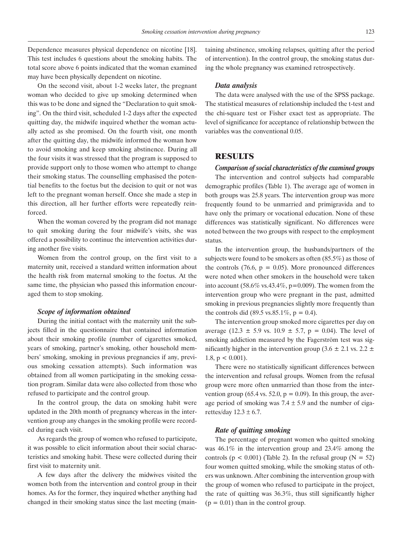Dependence measures physical dependence on nicotine [18]. This test includes 6 questions about the smoking habits. The total score above 6 points indicated that the woman examined may have been physically dependent on nicotine.

On the second visit, about 1-2 weeks later, the pregnant woman who decided to give up smoking determined when this was to be done and signed the "Declaration to quit smoking". On the third visit, scheduled 1-2 days after the expected quitting day, the midwife inquired whether the woman actually acted as she promised. On the fourth visit, one month after the quitting day, the midwife informed the woman how to avoid smoking and keep smoking abstinence. During all the four visits it was stressed that the program is supposed to provide support only to those women who attempt to change their smoking status. The counselling emphasised the potential benefits to the foetus but the decision to quit or not was left to the pregnant woman herself. Once she made a step in this direction, all her further efforts were repeatedly reinforced.

When the woman covered by the program did not manage to quit smoking during the four midwife's visits, she was offered a possibility to continue the intervention activities during another five visits.

Women from the control group, on the first visit to a maternity unit, received a standard written information about the health risk from maternal smoking to the foetus. At the same time, the physician who passed this information encouraged them to stop smoking.

#### *Scope of information obtained*

During the initial contact with the maternity unit the subjects filled in the questionnaire that contained information about their smoking profile (number of cigarettes smoked, years of smoking, partner's smoking, other household members' smoking, smoking in previous pregnancies if any, previous smoking cessation attempts). Such information was obtained from all women participating in the smoking cessation program. Similar data were also collected from those who refused to participate and the control group.

In the control group, the data on smoking habit were updated in the 20th month of pregnancy whereas in the intervention group any changes in the smoking profile were recorded during each visit.

As regards the group of women who refused to participate, it was possible to elicit information about their social characteristics and smoking habit. These were collected during their first visit to maternity unit.

A few days after the delivery the midwives visited the women both from the intervention and control group in their homes. As for the former, they inquired whether anything had changed in their smoking status since the last meeting (maintaining abstinence, smoking relapses, quitting after the period of intervention). In the control group, the smoking status during the whole pregnancy was examined retrospectively.

#### *Data analysis*

The data were analysed with the use of the SPSS package. The statistical measures of relationship included the t-test and the chi-square test or Fisher exact test as appropriate. The level of significance for acceptance of relationship between the variables was the conventional 0.05.

## **RESULTS**

#### *Comparison of social characteristics of the examined groups*

The intervention and control subjects had comparable demographic profiles (Table 1). The average age of women in both groups was 25.8 years. The intervention group was more frequently found to be unmarried and primigravida and to have only the primary or vocational education. None of these differences was statistically significant. No differences were noted between the two groups with respect to the employment status.

In the intervention group, the husbands/partners of the subjects were found to be smokers as often (85.5%) as those of the controls  $(76.6, p = 0.05)$ . More pronounced differences were noted when other smokers in the household were taken into account (58.6% vs.43.4%,  $p=0.009$ ). The women from the intervention group who were pregnant in the past, admitted smoking in previous pregnancies slightly more frequently than the controls did (89.5 vs.85.1%,  $p = 0.4$ ).

The intervention group smoked more cigarettes per day on average (12.3  $\pm$  5.9 vs. 10.9  $\pm$  5.7, p = 0.04). The level of smoking addiction measured by the Fagerström test was significantly higher in the intervention group (3.6  $\pm$  2.1 vs. 2.2  $\pm$ 1.8,  $p < 0.001$ ).

There were no statistically significant differences between the intervention and refusal groups. Women from the refusal group were more often unmarried than those from the intervention group (65.4 vs. 52.0,  $p = 0.09$ ). In this group, the average period of smoking was  $7.4 \pm 5.9$  and the number of cigarettes/day  $12.3 \pm 6.7$ .

### *Rate of quitting smoking*

The percentage of pregnant women who quitted smoking was 46.1% in the intervention group and 23.4% among the controls ( $p < 0.001$ ) (Table 2). In the refusal group ( $N = 52$ ) four women quitted smoking, while the smoking status of others was unknown. After combining the intervention group with the group of women who refused to participate in the project, the rate of quitting was 36.3%, thus still significantly higher  $(p = 0.01)$  than in the control group.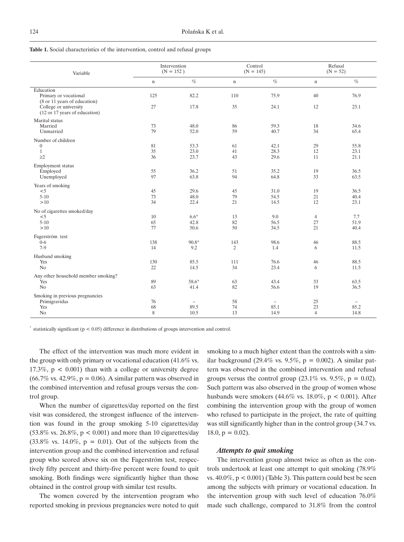|  |  | Table 1. Social characteristics of the intervention, control and refusal groups |  |  |  |  |  |  |  |
|--|--|---------------------------------------------------------------------------------|--|--|--|--|--|--|--|
|--|--|---------------------------------------------------------------------------------|--|--|--|--|--|--|--|

| Variable                                                                                                                     |                | Intervention<br>$(N = 152)$              |                | Control<br>$(N = 145)$                   | Refusal<br>$(N = 52)$      |                          |  |
|------------------------------------------------------------------------------------------------------------------------------|----------------|------------------------------------------|----------------|------------------------------------------|----------------------------|--------------------------|--|
|                                                                                                                              | $\mathbf n$    | $\%$                                     | $\mathbf n$    | $\%$                                     | $\mathbf n$                | $\%$                     |  |
| Education<br>Primary or vocational<br>(8 or 11 years of education)<br>College or university<br>(12 or 17 years of education) | 125<br>27      | 82.2<br>17.8                             | 110<br>35      | 75.9<br>24.1                             | 40<br>12                   | 76.9<br>23.1             |  |
| Marital status<br>Married<br>Unmarried                                                                                       | 73<br>79       | 48.0<br>52.0                             | 86<br>59       | 59.3<br>40.7                             | 18<br>34                   | 34.6<br>65.4             |  |
| Number of children<br>$\boldsymbol{0}$<br>$1\,$<br>$\geq$ 2                                                                  | 81<br>35<br>36 | 53.3<br>23.0<br>23.7                     | 61<br>41<br>43 | 42.1<br>28.3<br>29.6                     | 29<br>12<br>11             | 55.8<br>23.1<br>21.1     |  |
| Employment status<br>Employed<br>Unemployed                                                                                  | 55<br>97       | 36.2<br>63.8                             | 51<br>94       | 35.2<br>64.8                             | 19<br>33                   | 36.5<br>63.5             |  |
| Years of smoking<br>$<$ 5<br>$5 - 10$<br>>10                                                                                 | 45<br>73<br>34 | 29.6<br>48.0<br>22.4                     | 45<br>79<br>21 | 31.0<br>54.5<br>14.5                     | 19<br>21<br>12             | 36.5<br>40.4<br>23.1     |  |
| No of cigarettes smoked/day<br>< 5<br>$5-10$<br>>10                                                                          | 10<br>65<br>77 | $6.6*$<br>42.8<br>50.6                   | 13<br>82<br>50 | 9.0<br>56.5<br>34.5                      | $\overline{4}$<br>27<br>21 | 7.7<br>51.9<br>40.4      |  |
| Fagerström test<br>$0 - 6$<br>$7-9$                                                                                          | 138<br>14      | 90.8*<br>9.2                             | 143<br>2       | 98.6<br>1.4                              | 46<br>6                    | 88.5<br>11.5             |  |
| Husband smoking<br>Yes<br>No                                                                                                 | 130<br>22      | 85.5<br>14.5                             | 111<br>34      | 76.6<br>23.4                             | 46<br>6                    | 88.5<br>11.5             |  |
| Any other household member smoking?<br>Yes<br>No                                                                             | 89<br>63       | 58.6*<br>41.4                            | 63<br>82       | 43.4<br>56.6                             | 33<br>19                   | 63.5<br>36.5             |  |
| Smoking in previous pregnancies<br>Primigravidas<br>Yes<br>No                                                                | 76<br>68<br>8  | $\overline{\phantom{m}}$<br>89.5<br>10.5 | 58<br>74<br>13 | $\overline{\phantom{0}}$<br>85.1<br>14.9 | 25<br>23<br>$\overline{4}$ | $\equiv$<br>85.2<br>14.8 |  |

 $*$  statistically significant ( $p < 0.05$ ) difference in distributions of groups intervention and control.

The effect of the intervention was much more evident in the group with only primary or vocational education (41.6% vs. 17.3%,  $p < 0.001$ ) than with a college or university degree  $(66.7\% \text{ vs. } 42.9\%, \text{ p} = 0.06)$ . A similar pattern was observed in the combined intervention and refusal groups versus the control group.

When the number of cigarettes/day reported on the first visit was considered, the strongest influence of the intervention was found in the group smoking 5-10 cigarettes/day  $(53.8\% \text{ vs. } 26.8\%, \text{ p} < 0.001)$  and more than 10 cigarettes/day  $(33.8\% \text{ vs. } 14.0\%, \text{ p} = 0.01)$ . Out of the subjects from the intervention group and the combined intervention and refusal group who scored above six on the Fagerström test, respectively fifty percent and thirty-five percent were found to quit smoking. Both findings were significantly higher than those obtained in the control group with similar test results.

The women covered by the intervention program who reported smoking in previous pregnancies were noted to quit smoking to a much higher extent than the controls with a similar background (29.4% vs. 9.5%,  $p = 0.002$ ). A similar pattern was observed in the combined intervention and refusal groups versus the control group (23.1% vs. 9.5%,  $p = 0.02$ ). Such pattern was also observed in the group of women whose husbands were smokers  $(44.6\% \text{ vs. } 18.0\%, \text{ p} < 0.001)$ . After combining the intervention group with the group of women who refused to participate in the project, the rate of quitting was still significantly higher than in the control group (34.7 vs.  $18.0, p = 0.02$ ).

#### *Attempts to quit smoking*

The intervention group almost twice as often as the controls undertook at least one attempt to quit smoking (78.9% vs.  $40.0\%$ ,  $p < 0.001$ ) (Table 3). This pattern could best be seen among the subjects with primary or vocational education. In the intervention group with such level of education 76.0% made such challenge, compared to 31.8% from the control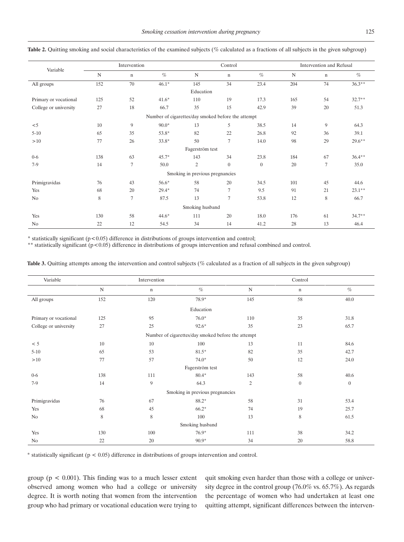|                                                    | Intervention |             |         |                                 | Control        |                |             | Intervention and Refusal |          |  |
|----------------------------------------------------|--------------|-------------|---------|---------------------------------|----------------|----------------|-------------|--------------------------|----------|--|
| Variable                                           | $\mathbf N$  | $\mathbf n$ | $\%$    | $\mathbf N$                     | $\mathbf n$    | $\%$           | $\mathbf N$ | $\mathbf n$              | $\%$     |  |
| All groups                                         | 152          | 70          | $46.1*$ | 145                             | 34             | 23.4           | 204         | 74                       | $36.3**$ |  |
|                                                    |              |             |         | Education                       |                |                |             |                          |          |  |
| Primary or vocational                              | 125          | 52          | $41.6*$ | 110                             | 19             | 17.3           | 165         | 54                       | $32.7**$ |  |
| College or university                              | 27           | 18          | 66.7    | 35                              | 15             | 42.9           | 39          | 20                       | 51.3     |  |
| Number of cigarettes/day smoked before the attempt |              |             |         |                                 |                |                |             |                          |          |  |
| $<$ 5                                              | 10           | 9           | $90.0*$ | 13                              | 5              | 38.5           | 14          | 9                        | 64.3     |  |
| $5 - 10$                                           | 65           | 35          | 53.8*   | 82                              | 22             | 26.8           | 92          | 36                       | 39.1     |  |
| >10                                                | 77           | 26          | $33.8*$ | 50                              | $\tau$         | 14.0           | 98          | 29                       | $29.6**$ |  |
|                                                    |              |             |         | Fagerström test                 |                |                |             |                          |          |  |
| $0-6$                                              | 138          | 63          | $45.7*$ | 143                             | 34             | 23.8           | 184         | 67                       | $36.4**$ |  |
| $7-9$                                              | 14           | $\tau$      | 50.0    | $\mathfrak{2}$                  | $\overline{0}$ | $\overline{0}$ | 20          | 7                        | 35.0     |  |
|                                                    |              |             |         | Smoking in previous pregnancies |                |                |             |                          |          |  |
| Primigravidas                                      | 76           | 43          | 56.6*   | 58                              | 20             | 34.5           | 101         | 45                       | 44.6     |  |
| Yes                                                | 68           | 20          | $29.4*$ | 74                              | $\tau$         | 9.5            | 91          | 21                       | $23.1**$ |  |
| No                                                 | 8            | 7           | 87.5    | 13                              | $\tau$         | 53.8           | 12          | 8                        | 66.7     |  |
| Smoking husband                                    |              |             |         |                                 |                |                |             |                          |          |  |
| Yes                                                | 130          | 58          | $44.6*$ | 111                             | 20             | 18.0           | 176         | 61                       | $34.7**$ |  |
| No                                                 | 22           | 12          | 54.5    | 34                              | 14             | 41.2           | 28          | 13                       | 46.4     |  |

Table 2. Quitting smoking and social characteristics of the examined subjects (% calculated as a fractions of all subjects in the given subgroup)

 $*$  statistically significant ( $p < 0.05$ ) difference in distributions of groups intervention and control;

\*\* statistically significant (p<0.05) difference in distributions of groups intervention and refusal combined and control.

**Table 3.** Quitting attempts among the intervention and control subjects (% calculated as a fraction of all subjects in the given subgroup)

| Variable              |             | Intervention |                                                    |                | Control          |              |
|-----------------------|-------------|--------------|----------------------------------------------------|----------------|------------------|--------------|
|                       | $\mathbf N$ | n            | $\%$                                               | ${\bf N}$      | $\mathbf n$      | $\%$         |
| All groups            | 152         | 120          | 78.9*                                              | 145            | 58               | 40.0         |
|                       |             |              | Education                                          |                |                  |              |
| Primary or vocational | 125         | 95           | $76.0*$                                            | 110            | 35               | 31.8         |
| College or university | 27          | 25           | 92.6*                                              | 35             | 23               | 65.7         |
|                       |             |              | Number of cigarettes/day smoked before the attempt |                |                  |              |
| < 5                   | 10          | 10           | 100                                                | 13             | 11               | 84.6         |
| $5 - 10$              | 65          | 53           | $81.5*$                                            | 82             | 35               | 42.7         |
| $>10$                 | 77          | 57           | $74.0*$                                            | 50             | 12               | 24.0         |
|                       |             |              | Fagerström test                                    |                |                  |              |
| $0 - 6$               | 138         | 111          | $80.4*$                                            | 143            | 58               | 40.6         |
| $7-9$                 | 14          | 9            | 64.3                                               | $\overline{c}$ | $\boldsymbol{0}$ | $\mathbf{0}$ |
|                       |             |              | Smoking in previous pregnancies                    |                |                  |              |
| Primigravidas         | 76          | 67           | 88.2*                                              | 58             | 31               | 53.4         |
| Yes                   | 68          | 45           | $66.2*$                                            | 74             | 19               | 25.7         |
| No                    | 8           | 8            | 100                                                | 13             | 8                | 61.5         |
|                       |             |              | Smoking husband                                    |                |                  |              |
| Yes                   | 130         | 100          | 76.9*                                              | 111            | 38               | 34.2         |
| No                    | 22          | 20           | 90.9*                                              | 34             | 20               | 58.8         |

\* statistically significant (p < 0.05) difference in distributions of groups intervention and control.

group ( $p < 0.001$ ). This finding was to a much lesser extent observed among women who had a college or university degree. It is worth noting that women from the intervention group who had primary or vocational education were trying to quit smoking even harder than those with a college or university degree in the control group (76.0% vs. 65.7%). As regards the percentage of women who had undertaken at least one quitting attempt, significant differences between the interven-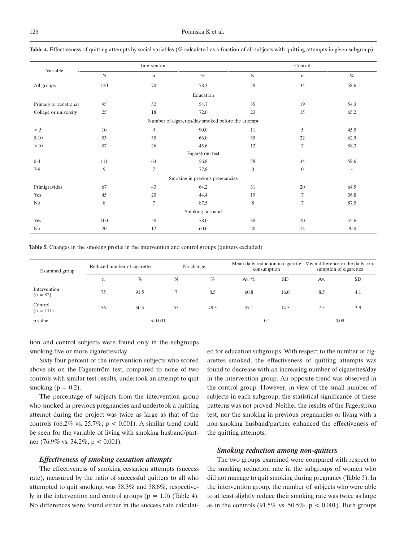| Variable                                           |             | Intervention   |                                 |                  | Control          |                          |  |  |  |
|----------------------------------------------------|-------------|----------------|---------------------------------|------------------|------------------|--------------------------|--|--|--|
|                                                    | $\mathbf N$ | n              | $\%$                            | $\mathbf N$      | $\mathbf n$      | $\%$                     |  |  |  |
| All groups                                         | 120         | 70             | 58.3                            | 58               | 34               | 58.6                     |  |  |  |
|                                                    |             |                | Education                       |                  |                  |                          |  |  |  |
| Primary or vocational                              | 95          | 52             | 54.7                            | 35               | 19               | 54.3                     |  |  |  |
| College or university                              | 25          | 18             | 72.0                            | 23               | 15               | 65.2                     |  |  |  |
| Number of cigarettes/day smoked before the attempt |             |                |                                 |                  |                  |                          |  |  |  |
| < 5                                                | 10          | 9              | 90.0                            | 11               | 5                | 45.5                     |  |  |  |
| $5 - 10$                                           | 53          | 35             | 66.0                            | 35               | 22               | 62.9                     |  |  |  |
| >10                                                | 57          | 26             | 45.6                            | 12               | $\tau$           | 58.3                     |  |  |  |
|                                                    |             |                | Fagerström test                 |                  |                  |                          |  |  |  |
| $0 - 4$                                            | 111         | 63             | 56.8                            | 58               | 34               | 58.6                     |  |  |  |
| $7-9$                                              | 9           | $\tau$         | 77.8                            | $\boldsymbol{0}$ | $\boldsymbol{0}$ | $\overline{\phantom{a}}$ |  |  |  |
|                                                    |             |                | Smoking in previous pregnancies |                  |                  |                          |  |  |  |
| Primigravidas                                      | 67          | 43             | 64.2                            | 31               | 20               | 64.5                     |  |  |  |
| Yes                                                | 45          | 20             | 44.4                            | 19               | $\overline{7}$   | 36.8                     |  |  |  |
| No                                                 | 8           | $\overline{7}$ | 87.5                            | 8                | $7\phantom{.0}$  | 87.5                     |  |  |  |
| Smoking husband                                    |             |                |                                 |                  |                  |                          |  |  |  |
| Yes                                                | 100         | 58             | 58.0                            | 38               | 20               | 52.6                     |  |  |  |
| No                                                 | 20          | 12             | 60.0                            | 20               | 14               | 70.0                     |  |  |  |

**Table 4.** Effectiveness of quitting attempts by social variables (% calculated as a fraction of all subjects with quitting attempts in given subgroup)

**Table 5.** Changes in the smoking profile in the intervention and control groups (quitters excluded)

| Examined group             | Reduced number of cigarettes |      | No change |      | consumption |      | Mean daily reduction in cigarette Mean difference in the daily con-<br>sumption of cigarettes |           |  |  |
|----------------------------|------------------------------|------|-----------|------|-------------|------|-----------------------------------------------------------------------------------------------|-----------|--|--|
|                            | $\mathbf n$                  | $\%$ | N         | $\%$ | Av. $%$     | SD.  | Av.                                                                                           | <b>SD</b> |  |  |
| Intervention<br>$(n = 82)$ | 75                           | 91.5 |           | 8.5  | 60.8        | 16.0 | 8.5                                                                                           | 4.1       |  |  |
| Control<br>$(n = 111)$     | 56                           | 50.5 | 55        | 49.5 | 57.1        | 14.5 | 7.5                                                                                           | 3.9       |  |  |
| p value                    | < 0.001                      |      |           |      | 0.1         |      |                                                                                               | 0.09      |  |  |

tion and control subjects were found only in the subgroups smoking five or more cigarettes/day.

Sixty four percent of the intervention subjects who scored above six on the Fagerström test, compared to none of two controls with similar test results, undertook an attempt to quit smoking ( $p = 0.2$ ).

The percentage of subjects from the intervention group who smoked in previous pregnancies and undertook a quitting attempt during the project was twice as large as that of the controls (66.2% vs. 25.7%,  $p < 0.001$ ). A similar trend could be seen for the variable of living with smoking husband/partner (76.9% vs. 34.2%, p < 0.001).

#### *Effectiveness of smoking cessation attempts*

The effectiveness of smoking cessation attempts (success rate), measured by the ratio of successful quitters to all who attempted to quit smoking, was 58.3% and 58.6%, respectively in the intervention and control groups ( $p = 1.0$ ) (Table 4). No differences were found either in the success rate calculat-

ed for education subgroups. With respect to the number of cigarettes smoked, the effectiveness of quitting attempts was found to decrease with an increasing number of cigarettes/day in the intervention group. An opposite trend was observed in the control group. However, in view of the small number of subjects in each subgroup, the statistical significance of these patterns was not proved. Neither the results of the Fagerström test, nor the smoking in previous pregnancies or living with a non-smoking husband/partner enhanced the effectiveness of the quitting attempts.

#### *Smoking reduction among non-quitters*

The two groups examined were compared with respect to the smoking reduction rate in the subgroups of women who did not manage to quit smoking during pregnancy (Table 5). In the intervention group, the number of subjects who were able to at least slightly reduce their smoking rate was twice as large as in the controls (91.5% vs. 50.5%,  $p < 0.001$ ). Both groups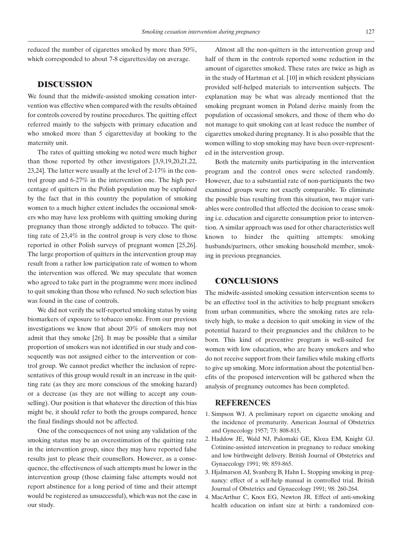reduced the number of cigarettes smoked by more than 50%, which corresponded to about 7-8 cigarettes/day on average.

# **DISCUSSION**

We found that the midwife-assisted smoking cessation intervention was effective when compared with the results obtained for controls covered by routine procedures. The quitting effect referred mainly to the subjects with primary education and who smoked more than 5 cigarettes/day at booking to the maternity unit.

The rates of quitting smoking we noted were much higher than those reported by other investigators [3,9,19,20,21,22, 23,24]. The latter were usually at the level of 2-17% in the control group and 6-27% in the intervention one. The high percentage of quitters in the Polish population may be explained by the fact that in this country the population of smoking women to a much higher extent includes the occasional smokers who may have less problems with quitting smoking during pregnancy than those strongly addicted to tobacco. The quitting rate of 23,4% in the control group is very close to those reported in other Polish surveys of pregnant women [25,26]. The large proportion of quitters in the intervention group may result from a rather low participation rate of women to whom the intervention was offered. We may speculate that women who agreed to take part in the programme were more inclined to quit smoking than those who refused. No such selection bias was found in the case of controls.

We did not verify the self-reported smoking status by using biomarkers of exposure to tobacco smoke. From our previous investigations we know that about 20% of smokers may not admit that they smoke [26]. It may be possible that a similar proportion of smokers was not identified in our study and consequently was not assigned either to the intervention or control group. We cannot predict whether the inclusion of representatives of this group would result in an increase in the quitting rate (as they are more conscious of the smoking hazard) or a decrease (as they are not willing to accept any counselling). Our position is that whatever the direction of this bias might be, it should refer to both the groups compared, hence the final findings should not be affected.

One of the consequences of not using any validation of the smoking status may be an overestimation of the quitting rate in the intervention group, since they may have reported false results just to please their counsellors. However, as a consequence, the effectiveness of such attempts must be lower in the intervention group (those claiming false attempts would not report abstinence for a long period of time and their attempt would be registered as unsuccessful), which was not the case in our study.

Almost all the non-quitters in the intervention group and half of them in the controls reported some reduction in the amount of cigarettes smoked. These rates are twice as high as in the study of Hartman et al. [10] in which resident physicians provided self-helped materials to intervention subjects. The explanation may be what was already mentioned that the smoking pregnant women in Poland derive mainly from the population of occasional smokers, and those of them who do not manage to quit smoking can at least reduce the number of cigarettes smoked during pregnancy. It is also possible that the women willing to stop smoking may have been over-represented in the intervention group.

Both the maternity units participating in the intervention program and the control ones were selected randomly. However, due to a substantial rate of non-participants the two examined groups were not exactly comparable. To eliminate the possible bias resulting from this situation, two major variables were controlled that affected the decision to cease smoking i.e. education and cigarette consumption prior to intervention. A similar approach was used for other characteristics well known to hinder the quitting attempts: smoking husbands/partners, other smoking household member, smoking in previous pregnancies.

# **CONCLUSIONS**

The midwife-assisted smoking cessation intervention seems to be an effective tool in the activities to help pregnant smokers from urban communities, where the smoking rates are relatively high, to make a decision to quit smoking in view of the potential hazard to their pregnancies and the children to be born. This kind of preventive program is well-suited for women with low education, who are heavy smokers and who do not receive support from their families while making efforts to give up smoking. More information about the potential benefits of the proposed intervention will be gathered when the analysis of pregnancy outcomes has been completed.

#### **REFERENCES**

- 1. Simpson WJ. A preliminary report on cigarette smoking and the incidence of prematurity. American Journal of Obstetrics and Gynecology 1957; 73: 808-815.
- 2. Haddow JE, Wald NJ, Palomaki GE, Kloza EM, Knight GJ. Cotinine-assisted intervention in pregnancy to reduce smoking and low birthweight delivery. British Journal of Obstetrics and Gynaecology 1991; 98: 859-865.
- 3. Hjalmarson AI, Svanberg B, Hahn L. Stopping smoking in pregnancy: effect of a self-help manual in controlled trial. British Journal of Obstetrics and Gynaecology 1991; 98: 260-264.
- 4. MacArthur C, Knox EG, Newton JR. Effect of anti-smoking health education on infant size at birth: a randomized con-